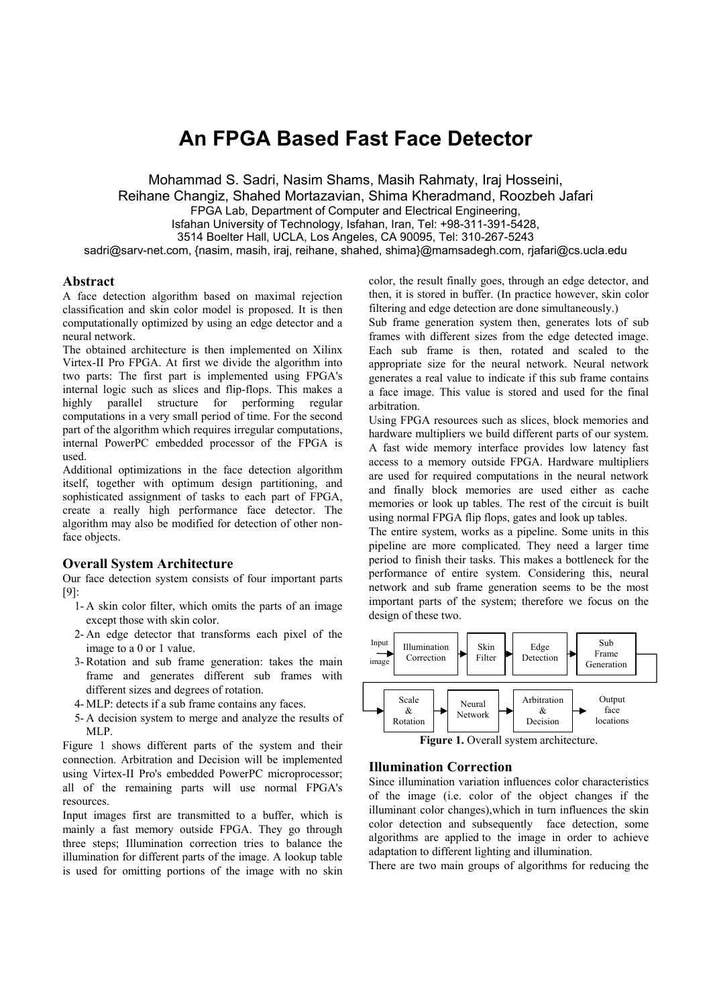# **An FPGA Based Fast Face Detector**

Mohammad S. Sadri, Nasim Shams, Masih Rahmaty, Iraj Hosseini, Reihane Changiz, Shahed Mortazavian, Shima Kheradmand, Roozbeh Jafari FPGA Lab, Department of Computer and Electrical Engineering, Isfahan University of Technology, Isfahan, Iran, Tel: +98-311-391-5428, 3514 Boelter Hall, UCLA, Los Angeles, CA 90095, Tel: 310-267-5243 sadri@sarv-net.com, {nasim, masih, iraj, reihane, shahed, shima}@mamsadegh.com, rjafari@cs.ucla.edu

## **Abstract**

A face detection algorithm based on maximal rejection classification and skin color model is proposed. It is then computationally optimized by using an edge detector and a neural network.

The obtained architecture is then implemented on Xilinx Virtex-II Pro FPGA. At first we divide the algorithm into two parts: The first part is implemented using FPGA's internal logic such as slices and flip-flops. This makes a highly parallel structure for performing regular computations in a very small period of time. For the second part of the algorithm which requires irregular computations, internal PowerPC embedded processor of the FPGA is used.

Additional optimizations in the face detection algorithm itself, together with optimum design partitioning, and sophisticated assignment of tasks to each part of FPGA, create a really high performance face detector. The algorithm may also be modified for detection of other nonface objects.

## **Overall System Architecture**

Our face detection system consists of four important parts [9]:

- 1- A skin color filter, which omits the parts of an image except those with skin color.
- 2- An edge detector that transforms each pixel of the image to a 0 or 1 value.
- 3- Rotation and sub frame generation: takes the main frame and generates different sub frames with different sizes and degrees of rotation.
- 4- MLP: detects if a sub frame contains any faces.
- 5- A decision system to merge and analyze the results of MLP.

Figure 1 shows different parts of the system and their connection. Arbitration and Decision will be implemented using Virtex-II Pro's embedded PowerPC microprocessor; all of the remaining parts will use normal FPGA's resources.

Input images first are transmitted to a buffer, which is mainly a fast memory outside FPGA. They go through three steps; Illumination correction tries to balance the illumination for different parts of the image. A lookup table is used for omitting portions of the image with no skin color, the result finally goes, through an edge detector, and then, it is stored in buffer. (In practice however, skin color filtering and edge detection are done simultaneously.)

Sub frame generation system then, generates lots of sub frames with different sizes from the edge detected image. Each sub frame is then, rotated and scaled to the appropriate size for the neural network. Neural network generates a real value to indicate if this sub frame contains a face image. This value is stored and used for the final arbitration.

Using FPGA resources such as slices, block memories and hardware multipliers we build different parts of our system. A fast wide memory interface provides low latency fast access to a memory outside FPGA. Hardware multipliers are used for required computations in the neural network and finally block memories are used either as cache memories or look up tables. The rest of the circuit is built using normal FPGA flip flops, gates and look up tables.

The entire system, works as a pipeline. Some units in this pipeline are more complicated. They need a larger time period to finish their tasks. This makes a bottleneck for the performance of entire system. Considering this, neural network and sub frame generation seems to be the most important parts of the system; therefore we focus on the design of these two.



**Figure 1.** Overall system architecture.

## **Illumination Correction**

Since illumination variation influences color characteristics of the image (i.e. color of the object changes if the illuminant color changes),which in turn influences the skin color detection and subsequently face detection, some algorithms are applied to the image in order to achieve adaptation to different lighting and illumination.

There are two main groups of algorithms for reducing the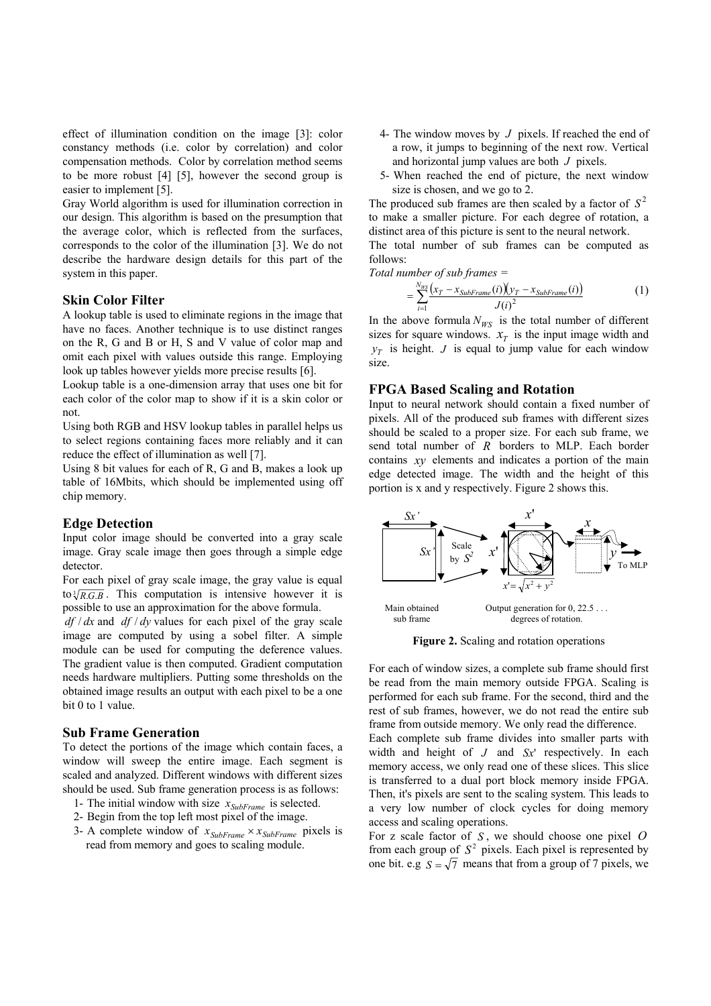effect of illumination condition on the image [3]: color constancy methods (i.e. color by correlation) and color compensation methods. Color by correlation method seems to be more robust [4] [5], however the second group is easier to implement [5].

Gray World algorithm is used for illumination correction in our design. This algorithm is based on the presumption that the average color, which is reflected from the surfaces, corresponds to the color of the illumination [3]. We do not describe the hardware design details for this part of the system in this paper.

## **Skin Color Filter**

A lookup table is used to eliminate regions in the image that have no faces. Another technique is to use distinct ranges on the R, G and B or H, S and V value of color map and omit each pixel with values outside this range. Employing look up tables however yields more precise results [6].

Lookup table is a one-dimension array that uses one bit for each color of the color map to show if it is a skin color or not.

Using both RGB and HSV lookup tables in parallel helps us to select regions containing faces more reliably and it can reduce the effect of illumination as well [7].

Using 8 bit values for each of R, G and B, makes a look up table of 16Mbits, which should be implemented using off chip memory.

## **Edge Detection**

Input color image should be converted into a gray scale image. Gray scale image then goes through a simple edge detector.

For each pixel of gray scale image, the gray value is equal to $\sqrt[3]{R.G.B}$ . This computation is intensive however it is possible to use an approximation for the above formula.

*df* / *dx* and *df* / *dy* values for each pixel of the gray scale image are computed by using a sobel filter. A simple module can be used for computing the deference values. The gradient value is then computed. Gradient computation needs hardware multipliers. Putting some thresholds on the obtained image results an output with each pixel to be a one bit 0 to 1 value.

#### **Sub Frame Generation**

To detect the portions of the image which contain faces, a window will sweep the entire image. Each segment is scaled and analyzed. Different windows with different sizes should be used. Sub frame generation process is as follows:

- 1- The initial window with size  $x_{SubFrame}$  is selected.
- 2- Begin from the top left most pixel of the image.
- 3- A complete window of  $x_{SubFrame} \times x_{SubFrame}$  pixels is read from memory and goes to scaling module.
- 4- The window moves by *J* pixels. If reached the end of a row, it jumps to beginning of the next row. Vertical and horizontal jump values are both *J* pixels.
- 5- When reached the end of picture, the next window size is chosen, and we go to 2.

The produced sub frames are then scaled by a factor of  $S^2$ to make a smaller picture. For each degree of rotation, a distinct area of this picture is sent to the neural network.

The total number of sub frames can be computed as follows:

*Total number of sub frames =* 

$$
=\sum_{i=1}^{N_{W\Sigma}}\frac{(x_T-x_{SubFrame}(i))(y_T-x_{SubFrame}(i))}{J(i)^2}
$$
(1)

In the above formula  $N_{WS}$  is the total number of different sizes for square windows.  $x_T$  is the input image width and  $y_T$  is height. *J* is equal to jump value for each window size.

## **FPGA Based Scaling and Rotation**

Input to neural network should contain a fixed number of pixels. All of the produced sub frames with different sizes should be scaled to a proper size. For each sub frame, we send total number of *R* borders to MLP. Each border contains *xy* elements and indicates a portion of the main edge detected image. The width and the height of this portion is x and y respectively. Figure 2 shows this.



**Figure 2.** Scaling and rotation operations

For each of window sizes, a complete sub frame should first be read from the main memory outside FPGA. Scaling is performed for each sub frame. For the second, third and the rest of sub frames, however, we do not read the entire sub frame from outside memory. We only read the difference.

Each complete sub frame divides into smaller parts with width and height of *J* and *Sx*' respectively. In each memory access, we only read one of these slices. This slice is transferred to a dual port block memory inside FPGA. Then, it's pixels are sent to the scaling system. This leads to a very low number of clock cycles for doing memory access and scaling operations.

For z scale factor of *S* , we should choose one pixel *O* from each group of  $S^2$  pixels. Each pixel is represented by one bit. e.g  $S = \sqrt{7}$  means that from a group of 7 pixels, we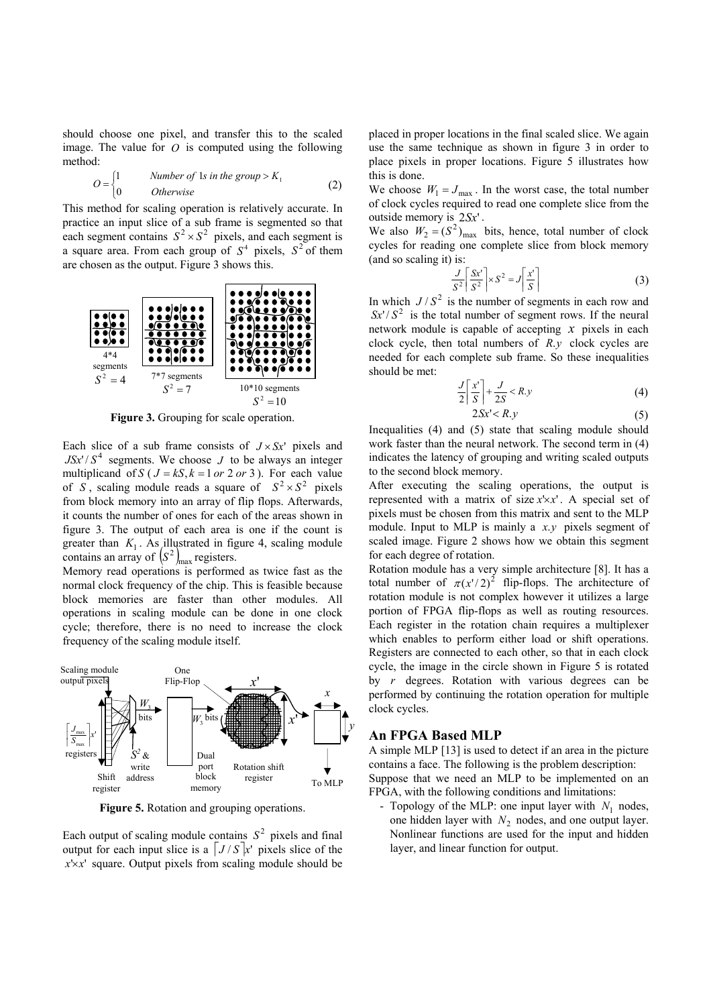should choose one pixel, and transfer this to the scaled image. The value for  $O$  is computed using the following method:

$$
O = \begin{cases} 1 & \text{Number of 1s in the group} > K_1 \\ 0 & \text{Otherwise} \end{cases} \tag{2}
$$

This method for scaling operation is relatively accurate. In practice an input slice of a sub frame is segmented so that each segment contains  $S^2 \times S^2$  pixels, and each segment is a square area. From each group of  $S<sup>4</sup>$  pixels,  $S<sup>2</sup>$  of them are chosen as the output. Figure 3 shows this.



**Figure 3.** Grouping for scale operation.

Each slice of a sub frame consists of  $J \times S x'$  pixels and  $JSx'/S<sup>4</sup>$  segments. We choose *J* to be always an integer multiplicand of *S* ( $J = kS$ ,  $k = 1$  *or* 2 *or* 3). For each value of *S*, scaling module reads a square of  $S^2 \times S^2$  pixels from block memory into an array of flip flops. Afterwards, it counts the number of ones for each of the areas shown in figure 3. The output of each area is one if the count is greater than  $K_1$ . As illustrated in figure 4, scaling module contains an array of  $(S^2)_{\text{max}}$  registers.

Memory read operations is performed as twice fast as the normal clock frequency of the chip. This is feasible because block memories are faster than other modules. All operations in scaling module can be done in one clock cycle; therefore, there is no need to increase the clock frequency of the scaling module itself.



**Figure 5.** Rotation and grouping operations.

Each output of scaling module contains  $S^2$  pixels and final output for each input slice is a  $J/Sx'$  pixels slice of the  $x' \times x'$  square. Output pixels from scaling module should be placed in proper locations in the final scaled slice. We again use the same technique as shown in figure 3 in order to place pixels in proper locations. Figure 5 illustrates how this is done.

We choose  $W_1 = J_{\text{max}}$ . In the worst case, the total number of clock cycles required to read one complete slice from the outside memory is 2*Sx*' .

We also  $W_2 = (S^2)_{\text{max}}$  bits, hence, total number of clock cycles for reading one complete slice from block memory (and so scaling it) is:

$$
\frac{J}{S^2} \left[ \frac{Sx'}{S^2} \right] \times S^2 = J \left[ \frac{x'}{S} \right]
$$
 (3)

In which  $J/S^2$  is the number of segments in each row and  $Sx'/S^2$  is the total number of segment rows. If the neural network module is capable of accepting *x* pixels in each clock cycle, then total numbers of *R*.*y* clock cycles are needed for each complete sub frame. So these inequalities should be met:

$$
\frac{J}{2} \left[ \frac{x'}{S} \right] + \frac{J}{2S} < R.y \tag{4}
$$

$$
2Sx' < R.y \tag{5}
$$

Inequalities (4) and (5) state that scaling module should work faster than the neural network. The second term in (4) indicates the latency of grouping and writing scaled outputs to the second block memory.

After executing the scaling operations, the output is represented with a matrix of size  $x \times x'$ . A special set of pixels must be chosen from this matrix and sent to the MLP module. Input to MLP is mainly a *x*.*y* pixels segment of scaled image. Figure 2 shows how we obtain this segment for each degree of rotation.

Rotation module has a very simple architecture [8]. It has a total number of  $\pi (x'/2)^2$  flip-flops. The architecture of rotation module is not complex however it utilizes a large portion of FPGA flip-flops as well as routing resources. Each register in the rotation chain requires a multiplexer which enables to perform either load or shift operations. Registers are connected to each other, so that in each clock cycle, the image in the circle shown in Figure 5 is rotated by *r* degrees. Rotation with various degrees can be performed by continuing the rotation operation for multiple clock cycles.

# **An FPGA Based MLP**

A simple MLP [13] is used to detect if an area in the picture contains a face. The following is the problem description: Suppose that we need an MLP to be implemented on an FPGA, with the following conditions and limitations:

- Topology of the MLP: one input layer with  $N_1$  nodes, one hidden layer with  $N_2$  nodes, and one output layer. Nonlinear functions are used for the input and hidden layer, and linear function for output.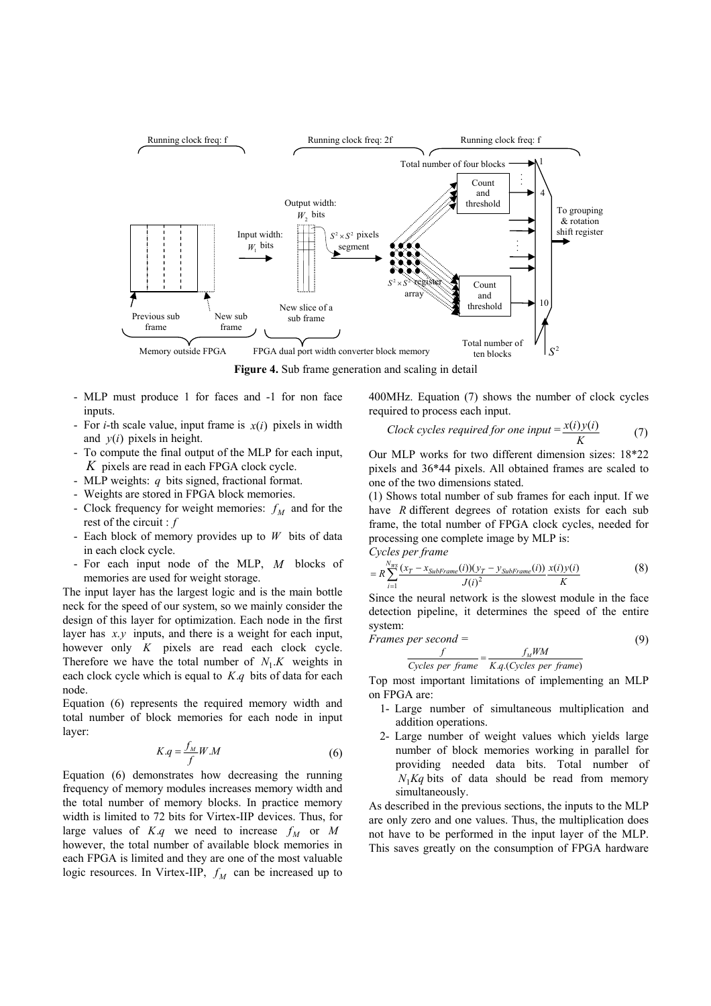

**Figure 4.** Sub frame generation and scaling in detail

- MLP must produce 1 for faces and -1 for non face inputs.
- For *i*-th scale value, input frame is  $x(i)$  pixels in width and  $v(i)$  pixels in height.
- To compute the final output of the MLP for each input, *K* pixels are read in each FPGA clock cycle.
- MLP weights: *q* bits signed, fractional format.
- Weights are stored in FPGA block memories.
- Clock frequency for weight memories:  $f_M$  and for the rest of the circuit : *f*
- Each block of memory provides up to *W* bits of data in each clock cycle.
- For each input node of the MLP, M blocks of memories are used for weight storage.

The input layer has the largest logic and is the main bottle neck for the speed of our system, so we mainly consider the design of this layer for optimization. Each node in the first layer has *x*.*y* inputs, and there is a weight for each input, however only *K* pixels are read each clock cycle. Therefore we have the total number of  $N_1.K$  weights in each clock cycle which is equal to *K*.*q* bits of data for each node.

Equation (6) represents the required memory width and total number of block memories for each node in input layer:

$$
K.q = \frac{f_M}{f}W.M
$$
 (6)

Equation (6) demonstrates how decreasing the running frequency of memory modules increases memory width and the total number of memory blocks. In practice memory width is limited to 72 bits for Virtex-IIP devices. Thus, for large values of  $K.q$  we need to increase  $f_M$  or  $M$ however, the total number of available block memories in each FPGA is limited and they are one of the most valuable logic resources. In Virtex-IIP,  $f_M$  can be increased up to 400MHz. Equation (7) shows the number of clock cycles required to process each input.

*Clock cycles required for one input* = 
$$
\frac{x(i)y(i)}{K}
$$
 (7)

Our MLP works for two different dimension sizes: 18\*22 pixels and 36\*44 pixels. All obtained frames are scaled to one of the two dimensions stated.

(1) Shows total number of sub frames for each input. If we have *R* different degrees of rotation exists for each sub frame, the total number of FPGA clock cycles, needed for processing one complete image by MLP is:

*Cycles per frame* 

$$
= R \sum_{i=1}^{N_{WS}} \frac{(x_T - x_{SubFrame}(i))(y_T - y_{SubFrame}(i))}{J(i)^2} \frac{x(i)y(i)}{K}
$$
 (8)

Since the neural network is the slowest module in the face detection pipeline, it determines the speed of the entire system:

$$
frames\ per\ second =
$$
\n
$$
f.WM
$$
\n(9)

$$
\frac{f}{\text{Cycles per frame}} = \frac{f_M W M}{K.q.(\text{Cycles per frame})}
$$

Top most important limitations of implementing an MLP on FPGA are:

- 1- Large number of simultaneous multiplication and addition operations.
- 2- Large number of weight values which yields large number of block memories working in parallel for providing needed data bits. Total number of  $N_1$ *Kq* bits of data should be read from memory simultaneously.

As described in the previous sections, the inputs to the MLP are only zero and one values. Thus, the multiplication does not have to be performed in the input layer of the MLP. This saves greatly on the consumption of FPGA hardware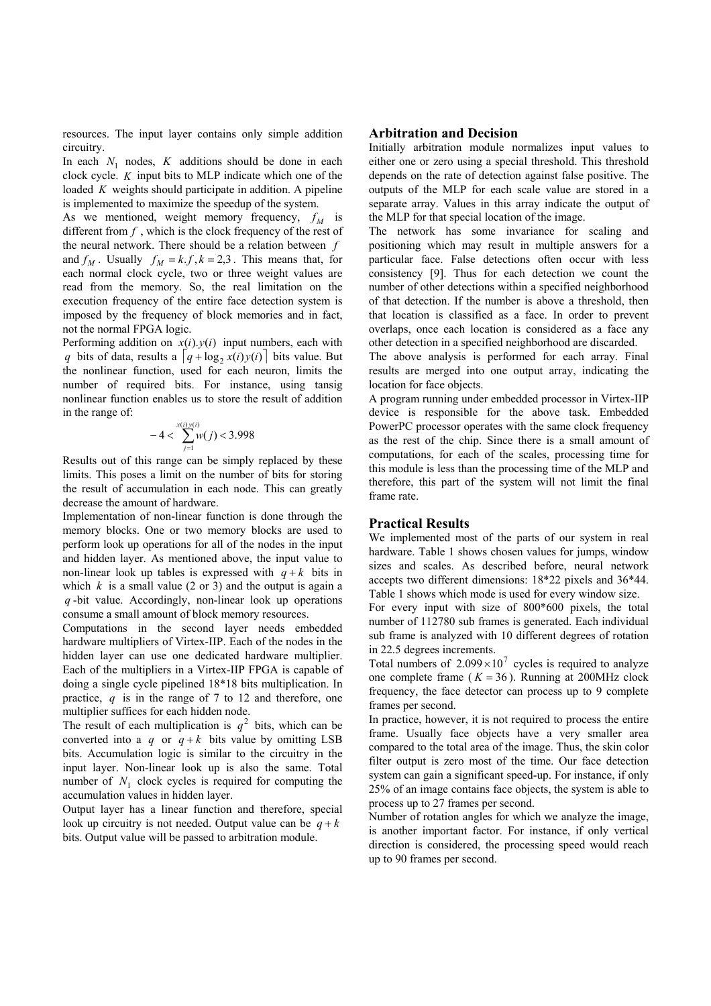resources. The input layer contains only simple addition circuitry.

In each  $N_1$  nodes,  $K$  additions should be done in each clock cycle. *K* input bits to MLP indicate which one of the loaded *K* weights should participate in addition. A pipeline is implemented to maximize the speedup of the system.

As we mentioned, weight memory frequency,  $f_M$  is different from *f* , which is the clock frequency of the rest of the neural network. There should be a relation between *f* and  $f_M$ . Usually  $f_M = k.f, k = 2, 3$ . This means that, for each normal clock cycle, two or three weight values are read from the memory. So, the real limitation on the execution frequency of the entire face detection system is imposed by the frequency of block memories and in fact, not the normal FPGA logic.

Performing addition on  $x(i)$ . $y(i)$  input numbers, each with *q* bits of data, results a  $\left[ q + \log_2 x(i) y(i) \right]$  bits value. But the nonlinear function, used for each neuron, limits the number of required bits. For instance, using tansig nonlinear function enables us to store the result of addition in the range of:

$$
-4 < \sum_{j=1}^{x(i)y(i)} w(j) < 3.998
$$

Results out of this range can be simply replaced by these limits. This poses a limit on the number of bits for storing the result of accumulation in each node. This can greatly decrease the amount of hardware.

Implementation of non-linear function is done through the memory blocks. One or two memory blocks are used to perform look up operations for all of the nodes in the input and hidden layer. As mentioned above, the input value to non-linear look up tables is expressed with  $q + k$  bits in which  $k$  is a small value (2 or 3) and the output is again a *q* -bit value. Accordingly, non-linear look up operations consume a small amount of block memory resources.

Computations in the second layer needs embedded hardware multipliers of Virtex-IIP. Each of the nodes in the hidden layer can use one dedicated hardware multiplier. Each of the multipliers in a Virtex-IIP FPGA is capable of doing a single cycle pipelined 18\*18 bits multiplication. In practice, *q* is in the range of 7 to 12 and therefore, one multiplier suffices for each hidden node.

The result of each multiplication is  $q^2$  bits, which can be converted into a *q* or  $q + k$  bits value by omitting LSB bits. Accumulation logic is similar to the circuitry in the input layer. Non-linear look up is also the same. Total number of  $N_1$  clock cycles is required for computing the accumulation values in hidden layer.

Output layer has a linear function and therefore, special look up circuitry is not needed. Output value can be  $q + k$ bits. Output value will be passed to arbitration module.

# **Arbitration and Decision**

Initially arbitration module normalizes input values to either one or zero using a special threshold. This threshold depends on the rate of detection against false positive. The outputs of the MLP for each scale value are stored in a separate array. Values in this array indicate the output of the MLP for that special location of the image.

The network has some invariance for scaling and positioning which may result in multiple answers for a particular face. False detections often occur with less consistency [9]. Thus for each detection we count the number of other detections within a specified neighborhood of that detection. If the number is above a threshold, then that location is classified as a face. In order to prevent overlaps, once each location is considered as a face any other detection in a specified neighborhood are discarded.

The above analysis is performed for each array. Final results are merged into one output array, indicating the location for face objects.

A program running under embedded processor in Virtex-IIP device is responsible for the above task. Embedded PowerPC processor operates with the same clock frequency as the rest of the chip. Since there is a small amount of computations, for each of the scales, processing time for this module is less than the processing time of the MLP and therefore, this part of the system will not limit the final frame rate.

## **Practical Results**

We implemented most of the parts of our system in real hardware. Table 1 shows chosen values for jumps, window sizes and scales. As described before, neural network accepts two different dimensions: 18\*22 pixels and 36\*44. Table 1 shows which mode is used for every window size.

For every input with size of 800\*600 pixels, the total number of 112780 sub frames is generated. Each individual sub frame is analyzed with 10 different degrees of rotation in 22.5 degrees increments.

Total numbers of  $2.099 \times 10^7$  cycles is required to analyze one complete frame ( $K = 36$ ). Running at 200MHz clock frequency, the face detector can process up to 9 complete frames per second.

In practice, however, it is not required to process the entire frame. Usually face objects have a very smaller area compared to the total area of the image. Thus, the skin color filter output is zero most of the time. Our face detection system can gain a significant speed-up. For instance, if only 25% of an image contains face objects, the system is able to process up to 27 frames per second.

Number of rotation angles for which we analyze the image, is another important factor. For instance, if only vertical direction is considered, the processing speed would reach up to 90 frames per second.